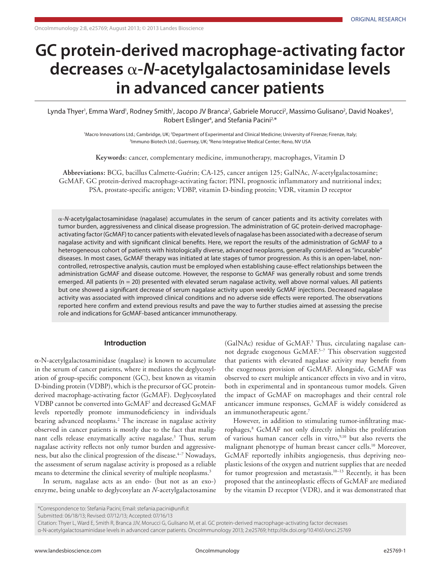# **GC protein-derived macrophage-activating factor decreases** α**-***N***-acetylgalactosaminidase levels in advanced cancer patients**

Lynda Thyer', Emma Ward', Rodney Smith', Jacopo JV Branca<sup>2</sup>, Gabriele Morucci<sup>2</sup>, Massimo Gulisano<sup>2</sup>, David Noakes<sup>3</sup>, Robert Eslinger<sup>4</sup>, and Stefania Pacini<sup>2,\*</sup>

> Macro Innovations Ltd.; Cambridge, UK; <sup>2</sup>Department of Experimental and Clinical Medicine; University of Firenze; Firenze, Italy; <sup>3</sup>Immuno Biotech Ltd.; Guernsey, UK; <sup>4</sup>Reno Integrative Medical Center; Reno, NV USA

**Keywords:** cancer, complementary medicine, immunotherapy, macrophages, Vitamin D

**Abbreviations:** BCG, bacillus Calmette-Guérin; CA-125, cancer antigen 125; GalNAc, *N*-acetylgalactosamine; GcMAF, GC protein-derived macrophage-activating factor; PINI, prognostic inflammatory and nutritional index; PSA, prostate-specific antigen; VDBP, vitamin D-binding protein; VDR, vitamin D receptor

α-*N*-acetylgalactosaminidase (nagalase) accumulates in the serum of cancer patients and its activity correlates with tumor burden, aggressiveness and clinical disease progression. The administration of GC protein-derived macrophageactivating factor (GcMAF) to cancer patients with elevated levels of nagalase has been associated with a decrease of serum nagalase activity and with significant clinical benefits. Here, we report the results of the administration of GcMAF to a heterogeneous cohort of patients with histologically diverse, advanced neoplasms, generally considered as "incurable" diseases. In most cases, GcMAF therapy was initiated at late stages of tumor progression. As this is an open-label, noncontrolled, retrospective analysis, caution must be employed when establishing cause-effect relationships between the administration GcMAF and disease outcome. However, the response to GcMAF was generally robust and some trends emerged. All patients ( $n = 20$ ) presented with elevated serum nagalase activity, well above normal values. All patients but one showed a significant decrease of serum nagalase activity upon weekly GcMAF injections. Decreased nagalase activity was associated with improved clinical conditions and no adverse side effects were reported. The observations reported here confirm and extend previous results and pave the way to further studies aimed at assessing the precise role and indications for GcMAF-based anticancer immunotherapy.

## **Introduction**

α-N-acetylgalactosaminidase (nagalase) is known to accumulate in the serum of cancer patients, where it mediates the deglycosylation of group-specific component (GC), best known as vitamin D-binding protein (VDBP), which is the precursor of GC proteinderived macrophage-activating factor (GcMAF). Deglycosylated VDBP cannot be converted into GcMAF1 and decreased GcMAF levels reportedly promote immunodeficiency in individuals bearing advanced neoplasms.2 The increase in nagalase activity observed in cancer patients is mostly due to the fact that malignant cells release enzymatically active nagalase.<sup>3</sup> Thus, serum nagalase activity reflects not only tumor burden and aggressiveness, but also the clinical progression of the disease.<sup>4-7</sup> Nowadays, the assessment of serum nagalase activity is proposed as a reliable means to determine the clinical severity of multiple neoplasms.<sup>3</sup>

In serum, nagalase acts as an endo- (but not as an exo-) enzyme, being unable to deglycosylate an *N*-acetylgalactosamine

(GalNAc) residue of GcMAF.<sup>5</sup> Thus, circulating nagalase cannot degrade exogenous GcMAF.<sup>5-7</sup> This observation suggested that patients with elevated nagalase activity may benefit from the exogenous provision of GcMAF. Alongside, GcMAF was observed to exert multiple anticancer effects in vivo and in vitro, both in experimental and in spontaneous tumor models. Given the impact of GcMAF on macrophages and their central role anticancer immune responses, GcMAF is widely considered as an immunotherapeutic agent.<sup>7</sup>

However, in addition to stimulating tumor-infiltrating macrophages,<sup>8</sup> GcMAF not only directly inhibits the proliferation of various human cancer cells in vitro,<sup>9,10</sup> but also reverts the malignant phenotype of human breast cancer cells.<sup>10</sup> Moreover, GcMAF reportedly inhibits angiogenesis, thus depriving neoplastic lesions of the oxygen and nutrient supplies that are needed for tumor progression and metastasis.<sup>10-13</sup> Recently, it has been proposed that the antineoplastic effects of GcMAF are mediated by the vitamin D receptor (VDR), and it was demonstrated that

Submitted: 06/18/13; Revised: 07/12/13; Accepted: 07/16/13

Citation: Thyer L, Ward E, Smith R, Branca JJV, Morucci G, Gulisano M, et al. GC protein-derived macrophage-activating factor decreases α-N-acetylgalactosaminidase levels in advanced cancer patients. OncoImmunology 2013; 2:e25769; http://dx.doi.org/10.4161/onci.25769

<sup>\*</sup>Correspondence to: Stefania Pacini; Email: stefania.pacini@unifi.it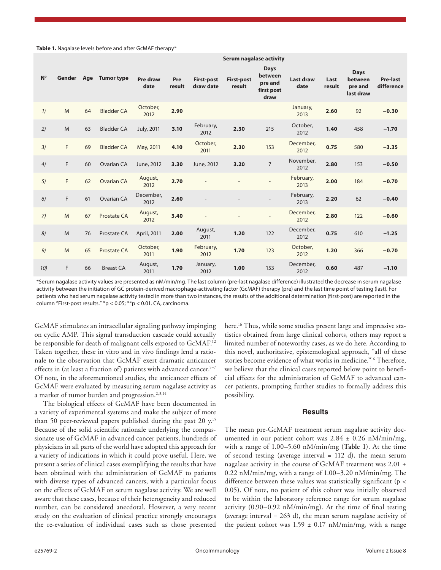**Table 1.** Nagalase levels before and after GcMAF therapy\*

|             | JEI UIII HAYAIAJE ALLIVILY |     |                    |                   |               |                                |                             |                                                         |                          |                |                                                |                               |
|-------------|----------------------------|-----|--------------------|-------------------|---------------|--------------------------------|-----------------------------|---------------------------------------------------------|--------------------------|----------------|------------------------------------------------|-------------------------------|
| $N^{\circ}$ | Gender                     | Age | <b>Tumor type</b>  | Pre draw<br>date  | Pre<br>result | <b>First-post</b><br>draw date | <b>First-post</b><br>result | <b>Days</b><br>between<br>pre and<br>first post<br>draw | <b>Last draw</b><br>date | Last<br>result | <b>Days</b><br>between<br>pre and<br>last draw | <b>Pre-last</b><br>difference |
| 1)          | M                          | 64  | <b>Bladder CA</b>  | October,<br>2012  | 2.90          |                                |                             |                                                         | January,<br>2013         | 2.60           | 92                                             | $-0.30$                       |
| 2)          | M                          | 63  | <b>Bladder CA</b>  | July, 2011        | 3.10          | February,<br>2012              | 2.30                        | 215                                                     | October,<br>2012         | 1.40           | 458                                            | $-1.70$                       |
| 3)          | F                          | 69  | <b>Bladder CA</b>  | May, 2011         | 4.10          | October,<br>2011               | 2.30                        | 153                                                     | December,<br>2012        | 0.75           | 580                                            | $-3.35$                       |
| 4)          | F                          | 60  | Ovarian CA         | June, 2012        | 3.30          | June, 2012                     | 3.20                        | $\overline{7}$                                          | November,<br>2012        | 2.80           | 153                                            | $-0.50$                       |
| 5)          | F                          | 62  | <b>Ovarian CA</b>  | August,<br>2012   | 2.70          |                                |                             |                                                         | February,<br>2013        | 2.00           | 184                                            | $-0.70$                       |
| 6)          | F                          | 61  | Ovarian CA         | December,<br>2012 | 2.60          |                                |                             |                                                         | February,<br>2013        | 2.20           | 62                                             | $-0.40$                       |
| 7)          | M                          | 67  | Prostate CA        | August,<br>2012   | 3.40          |                                |                             | $\overline{a}$                                          | December,<br>2012        | 2.80           | 122                                            | $-0.60$                       |
| 8)          | M                          | 76  | Prostate CA        | April, 2011       | 2.00          | August,<br>2011                | 1.20                        | 122                                                     | December,<br>2012        | 0.75           | 610                                            | $-1.25$                       |
| 9)          | M                          | 65  | <b>Prostate CA</b> | October,<br>2011  | 1.90          | February,<br>2012              | 1.70                        | 123                                                     | October,<br>2012         | 1.20           | 366                                            | $-0.70$                       |
| 10)         | F                          | 66  | <b>Breast CA</b>   | August,<br>2011   | 1.70          | January,<br>2012               | 1.00                        | 153                                                     | December,<br>2012        | 0.60           | 487                                            | $-1.10$                       |

**Serum nagalase activity**

\*Serum nagalase activity values are presented as nM/min/mg. The last column (pre-last nagalase difference) illustrated the decrease in serum nagalase activity between the initiation of GC protein-derived macrophage-activating factor (GcMAF) therapy (pre) and the last time point of testing (last). For patients who had serum nagalase activity tested in more than two instances, the results of the additional determination (first-post) are reported in the column "First-post results." \*p < 0.05; \*\*p < 0.01. CA, carcinoma.

GcMAF stimulates an intracellular signaling pathway impinging on cyclic AMP. This signal transduction cascade could actually be responsible for death of malignant cells exposed to GcMAF.<sup>12</sup> Taken together, these in vitro and in vivo findings lend a rationale to the observation that GcMAF exert dramatic anticancer effects in (at least a fraction of) patients with advanced cancer.<sup>5–7</sup> Of note, in the aforementioned studies, the anticancer effects of GcMAF were evaluated by measuring serum nagalase activity as a marker of tumor burden and progression.<sup>2,3,14</sup>

The biological effects of GcMAF have been documented in a variety of experimental systems and make the subject of more than 50 peer-reviewed papers published during the past 20 y.<sup>15</sup> Because of the solid scientific rationale underlying the compassionate use of GcMAF in advanced cancer patients, hundreds of physicians in all parts of the world have adopted this approach for a variety of indications in which it could prove useful. Here, we present a series of clinical cases exemplifying the results that have been obtained with the administration of GcMAF to patients with diverse types of advanced cancers, with a particular focus on the effects of GcMAF on serum nagalase activity. We are well aware that these cases, because of their heterogeneity and reduced number, can be considered anecdotal. However, a very recent study on the evaluation of clinical practice strongly encourages the re-evaluation of individual cases such as those presented

here.<sup>16</sup> Thus, while some studies present large and impressive statistics obtained from large clinical cohorts, others may report a limited number of noteworthy cases, as we do here. According to this novel, authoritative, epistemological approach, "all of these stories become evidence of what works in medicine."16 Therefore, we believe that the clinical cases reported below point to beneficial effects for the administration of GcMAF to advanced cancer patients, prompting further studies to formally address this possibility.

# **Results**

The mean pre-GcMAF treatment serum nagalase activity documented in our patient cohort was  $2.84 \pm 0.26$  nM/min/mg, with a range of 1.00–5.60 nM/min/mg (**Table 1**). At the time of second testing (average interval = 112 d), the mean serum nagalase activity in the course of GcMAF treatment was 2.01 ± 0.22 nM/min/mg, with a range of 1.00–3.20 nM/min/mg. The difference between these values was statistically significant (p < 0.05). Of note, no patient of this cohort was initially observed to be within the laboratory reference range for serum nagalase activity (0.90–0.92 nM/min/mg). At the time of final testing (average interval =  $263$  d), the mean serum nagalase activity of the patient cohort was  $1.59 \pm 0.17$  nM/min/mg, with a range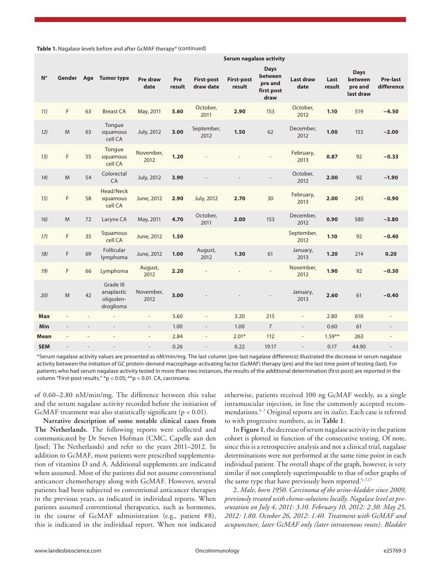Table 1. Nagalase levels before and after GcMAF therapy\* (continued)

| $N^{\circ}$ | Gender                   | Age            | <b>Tumor type</b>                                 | Pre draw<br>date         | Pre<br>result | <b>First-post</b><br>draw date | <b>First-post</b><br>result | <b>Days</b><br>between<br>pre and<br>first post<br>draw | <b>Last draw</b><br>date | Last<br>result | <b>Days</b><br>between<br>pre and<br>last draw | Pre-last<br>difference   |
|-------------|--------------------------|----------------|---------------------------------------------------|--------------------------|---------------|--------------------------------|-----------------------------|---------------------------------------------------------|--------------------------|----------------|------------------------------------------------|--------------------------|
| 11)         | F                        | 63             | <b>Breast CA</b>                                  | May, 2011                | 5.60          | October,<br>2011               | 2.90                        | 153                                                     | October,<br>2012         | 1.10           | 519                                            | $-4.50$                  |
| 12)         | M                        | 63             | Tongue<br>squamous<br>cell CA                     | July, 2012               | 3.00          | September,<br>2012             | 1.50                        | 62                                                      | December,<br>2012        | 1.00           | 153                                            | $-2.00$                  |
| 13)         | F                        | 55             | Tongue<br>squamous<br>cell CA                     | November,<br>2012        | 1.20          |                                |                             |                                                         | February,<br>2013        | 0.87           | 92                                             | $-0.33$                  |
| 14)         | M                        | 54             | Colorectal<br>CA                                  | July, 2012               | 3.90          |                                | $\overline{\phantom{a}}$    |                                                         | October,<br>2012         | 2.00           | 92                                             | $-1.90$                  |
| 15)         | F                        | 58             | Head/Neck<br>squamous<br>cell CA                  | June, 2012               | 2.90          | <b>July, 2012</b>              | 2.70                        | 30                                                      | February,<br>2013        | 2.00           | 245                                            | $-0.90$                  |
| 16)         | ${\sf M}$                | 72             | Larynx CA                                         | May, 2011                | 4.70          | October,<br>2011               | 2.00                        | 153                                                     | December,<br>2012        | 0.90           | 580                                            | $-3.80$                  |
| 17)         | F                        | 35             | Squamous<br>cell CA                               | June, 2012               | 1.50          |                                |                             |                                                         | September,<br>2012       | 1.10           | 92                                             | $-0.40$                  |
| 18)         | F                        | 69             | Follicular<br>lymphoma                            | June, 2012               | 1.00          | August,<br>2012                | 1.30                        | 61                                                      | January,<br>2013         | 1.20           | 214                                            | 0.20                     |
| 19)         | F                        | 66             | Lymphoma                                          | August,<br>2012          | 2.20          |                                |                             |                                                         | November,<br>2012        | 1.90           | 92                                             | $-0.30$                  |
| 20)         | M                        | 42             | Grade III<br>anaplastic<br>oligoden-<br>droglioma | November,<br>2012        | 3.00          |                                |                             |                                                         | January,<br>2013         | 2.60           | 61                                             | $-0.40$                  |
| <b>Max</b>  | $\overline{a}$           | $\overline{a}$ |                                                   | $\overline{\phantom{a}}$ | 5.60          | $\overline{\phantom{a}}$       | 3.20                        | 215                                                     | $\overline{\phantom{a}}$ | 2.80           | 610                                            | $\overline{\phantom{a}}$ |
| Min         | $\overline{\phantom{a}}$ | $\overline{a}$ | $\overline{\phantom{a}}$                          | $\overline{\phantom{a}}$ | 1.00          | $\overline{\phantom{a}}$       | 1.00                        | $\overline{7}$                                          | $\overline{\phantom{a}}$ | 0.60           | 61                                             | $\overline{\phantom{a}}$ |
| Mean        | L                        |                | $\overline{a}$                                    | $\overline{\phantom{a}}$ | 2.84          | $\overline{\phantom{a}}$       | $2.01*$                     | 112                                                     | $\overline{\phantom{a}}$ | $1.59***$      | 263                                            | $\overline{\phantom{a}}$ |
| <b>SEM</b>  |                          |                |                                                   | $\overline{a}$           | 0.26          |                                | 0.22                        | 19.17                                                   |                          | 0.17           | 44.90                                          | $\overline{a}$           |

**Serum nagalase activity**

\*Serum nagalase activity values are presented as nM/min/mg. The last column (pre-last nagalase difference) illustrated the decrease in serum nagalase activity between the initiation of GC protein-derived macrophage-activating factor (GcMAF) therapy (pre) and the last time point of testing (last). For patients who had serum nagalase activity tested in more than two instances, the results of the additional determination (first-post) are reported in the column "First-post results." \*p < 0.05; \*\*p < 0.01. CA, carcinoma.

of 0.60–2.80 nM/min/mg. The difference between this value and the serum nagalase activity recorded before the initiation of GcMAF treatment was also statistically significant  $(p < 0.01)$ .

**Narrative description of some notable clinical cases from The Netherlands.** The following reports were collected and communicated by Dr Steven Hofman (CMC, Capelle aan den Ijssel; The Netherlands) and refer to the years 2011–2012. In addition to GcMAF, most patients were prescribed supplementation of vitamins D and A. Additional supplements are indicated when assumed. Most of the patients did not assume conventional anticancer chemotherapy along with GcMAF. However, several patients had been subjected to conventional anticancer therapies in the previous years, as indicated in individual reports. When patients assumed conventional therapeutics, such as hormones, in the course of GcMAF administration (e.g., patient #8), this is indicated in the individual report. When not indicated otherwise, patients received 100 ng GcMAF weekly, as a single intramuscular injection, in line the commonly accepted recommendations.5–7 Original reports are in *italics*. Each case is referred to with progressive numbers, as in **Table 1**.

In **Figure 1**, the decrease of serum nagalase activity in the patient cohort is plotted in function of the consecutive testing. Of note, since this is a retrospective analysis and not a clinical trial, nagalase determinations were not performed at the same time point in each individual patient. The overall shape of the graph, however, is very similar if not completely superimposable to that of other graphs of the same type that have previously been reported.<sup>5-7,17</sup>

2. *Male, born 1950. Carcinoma of the urine-bladder since 2009, previously treated with chemo-solutions locally. Nagalase level at presentation on July 4, 2011: 3.10. February 10, 2012: 2.30. May 25, 2012: 1.80. October 26, 2012: 1.40. Treatment with GcMAF and acupuncture, later GcMAF only (later intravenous route). Bladder*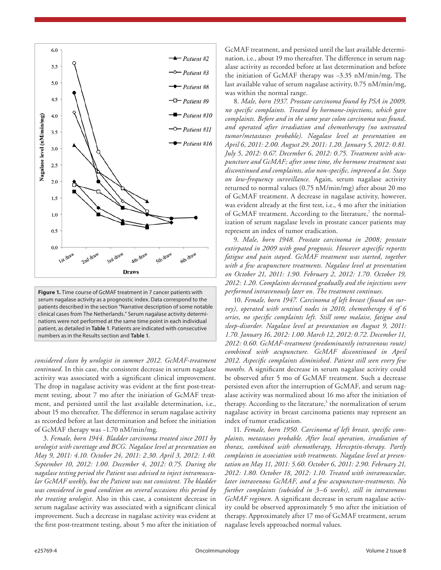

**Figure 1.** Time course of GcMAF treatment in 7 cancer patients with serum nagalase activity as a prognostic index. Data correspond to the patients described in the section "Narrative description of some notable clinical cases from The Netherlands." Serum nagalase activity determinations were not performed at the same time point in each individual patient, as detailed in **Table 1**. Patients are indicated with consecutive numbers as in the Results section and **Table 1**.

*considered clean by urologist in summer 2012. GcMAF-treatment continued.* In this case, the consistent decrease in serum nagalase activity was associated with a significant clinical improvement. The drop in nagalase activity was evident at the first post-treatment testing, about 7 mo after the initiation of GcMAF treatment, and persisted until the last available determination, i.e., about 15 mo thereafter. The difference in serum nagalase activity as recorded before at last determination and before the initiation of GcMAF therapy was −1.70 nM/min/mg.

3. *Female, born 1944. Bladder carcinoma treated since 2011 by urologist with curettage and BCG. Nagalase level at presentation on May 9, 2011: 4.10. October 24, 2011: 2.30. April 3, 2012: 1.40. September 10, 2012: 1.00. December 4, 2012: 0.75. During the nagalase testing period the Patient was advised to inject intramuscular GcMAF weekly, but the Patient was not consistent. The bladder was considered in good condition on several occasions this period by the treating urologist.* Also in this case, a consistent decrease in serum nagalase activity was associated with a significant clinical improvement. Such a decrease in nagalase activity was evident at the first post-treatment testing, about 5 mo after the initiation of GcMAF treatment, and persisted until the last available determination, i.e., about 19 mo thereafter. The difference in serum nagalase activity as recorded before at last determination and before the initiation of GcMAF therapy was −3.35 nM/min/mg. The last available value of serum nagalase activity, 0.75 nM/min/mg, was within the normal range.

8. *Male, born 1937. Prostate carcinoma found by PSA in 2009, no specific complaints. Treated by hormone-injections, which gave complaints. Before and in the same year colon carcinoma was found, and operated after irradiation and chemotherapy (no untreated tumor/metastases probable). Nagalase level at presentation on April 6, 2011: 2.00. August 29, 2011: 1.20. January 5, 2012: 0.81. July 5, 2012: 0.67. December 6, 2012: 0.75. Treatment with acupuncture and GcMAF; after some time, the hormone treatment was discontinued and complaints, also non-specific, improved a lot. Stays on low-frequency surveillance.* Again, serum nagalase activity returned to normal values (0.75 nM/min/mg) after about 20 mo of GcMAF treatment. A decrease in nagalase activity, however, was evident already at the first test, i.e., 4 mo after the initiation of GcMAF treatment. According to the literature,<sup>7</sup> the normalization of serum nagalase levels in prostate cancer patients may represent an index of tumor eradication.

9. *Male, born 1948. Prostate carcinoma in 2008; prostate extirpated in 2009 with good prognosis. However aspecific reportts*  fatigue and pain stayed. GcMAF treatment was started, together *with a few acupuncture treatments. Nagalase level at presentation on October 21, 2011: 1.90. February 2, 2012: 1.70. October 19, 2012: 1.20. Complaints decreased gradually and the injections were performed intravenously later on. The treatment continues.*

10. *Female, born 1947. Carcinoma of left breast (found on survey), operated with sentinel nodes in 2010, chemotherapy 4 of 6 series, no specific complaints left. Still some malaise, fatigue and sleep-disorder. Nagalase level at presentation on August 9, 2011: 1.70. January 16, 2012: 1.00. March 12, 2012: 0.72. December 11, 2012: 0.60. GcMAF-treatment (predominantly intravenous route) combined with acupuncture. GcMAF discontinued in April 2012. Aspecific complaints diminished. Patient still seen every few months.* A significant decrease in serum nagalase activity could be observed after 5 mo of GcMAF treatment. Such a decrease persisted even after the interruption of GcMAF, and serum nagalase activity was normalized about 16 mo after the initiation of therapy. According to the literature,<sup>5</sup> the normalization of serum nagalase activity in breast carcinoma patients may represent an index of tumor eradication.

11. *Female, born 1950. Carcinoma of left breast, specific complaints, metastases probable. After local operation, irradiation of thorax, combined with chemotherapy, Herceptin-therapy. Partly complaints in association with treatments. Nagalase level at presentation on May 11, 2011: 5.60. October 6, 2011: 2.90. February 21, 2012: 1.80. October 18, 2012: 1.10. Treated with intramuscular, later intravenous GcMAF, and a few acupuncture-treatments. No further complaints (subsided in 3–6 weeks), still in intravenous GcMAF regimen.* A significant decrease in serum nagalase activity could be observed approximately 5 mo after the initiation of therapy. Approximately after 17 mo of GcMAF treatment, serum nagalase levels approached normal values.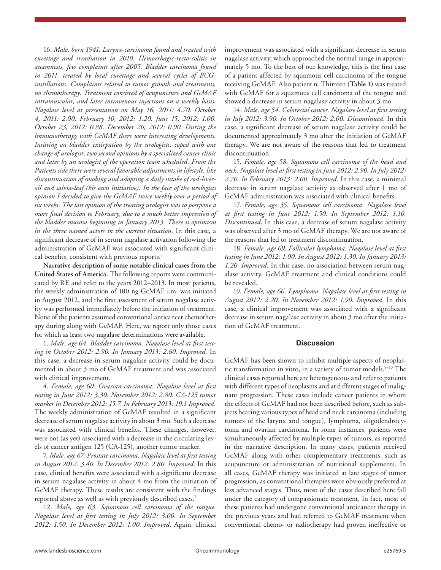16. *Male, born 1941. Larynx-carcinoma found and treated with curettage and irradiation in 2010. Hemorrhagic-recto-colitis in anamnesis, few complaints after 2005. Bladder carcinoma found in 2011, treated by local curettage and several cycles of BCGinstillations. Complaints related to tumor growth and treatments, no chemotherapy. Treatment consisted of acupuncture and GcMAF intramuscular, and later intravenous injections on a weekly basis. Nagalase level at presentation on May 16, 2011: 4.70. October 4, 2011: 2.00. February 10, 2012: 1.20. June 15, 2012: 1.00. October 23, 2012: 0.88. December 20, 2012: 0.90. During the immunotherapy with GcMAF there were interesting developments. Insisting on bladder extirpation by the urologists, coped with one change of urologist, two second opinions by a specialized cancer clinic and later by an urologist of the operation team scheduled. From the Patients side there were several favorable adjustments in lifestyle, like discontinuation of smoking and adopting a daily intake of cod-liveroil and salvia-leaf (his own initiative). In the face of the urologists opinion I decided to give the GcMAF twice weekly over a period of six weeks. The last opinion of the treating urologist was to postpone a more final decision to February, due to a much better impression of the bladder mucosa beginning in January 2013. There is optimism in the three named actors in the current situation.* In this case, a significant decrease of in serum nagalase activation following the administration of GcMAF was associated with significant clinical benefits, consistent with previous reports.<sup>7</sup>

**Narrative description of some notable clinical cases from the United States of America.** The following reports were communicated by RE and refer to the years 2012–2013. In most patients, the weekly administration of 100 ng GcMAF i.m. was initiated in August 2012, and the first assessment of serum nagalase activity was performed immediately before the initiation of treatment. None of the patients assumed conventional anticancer chemotherapy during along with GcMAF. Here, we report only those cases for which as least two nagalase determinations were available.

1. *Male, age 64. Bladder carcinoma. Nagalase level at first testing in October 2012: 2.90. In January 2013: 2.60. Improved.* In this case, a decrease in serum nagalase activity could be documented in about 3 mo of GcMAF treatment and was associated with clinical improvement.

4. *Female, age 60. Ovarian carcinoma. Nagalase level at first testing in June 2012: 3.30. November 2012: 2.80. CA-125 tumor marker in December 2012: 15.7. In February 2013: 19.1 Improved.* The weekly administration of GcMAF resulted in a significant decrease of serum nagalase activity in about 3 mo. Such a decrease was associated with clinical benefits. These changes, however, were not (as yet) associated with a decrease in the circulating levels of cancer antigen 125 (CA-125), another tumor marker.

7. *Male, age 67. Prostate carcinoma. Nagalase level at first testing in August 2012: 3.40. In December 2012: 2.80. Improved.* In this case, clinical benefits were associated with a significant decrease in serum nagalase activity in about 4 mo from the initiation of GcMAF therapy. These results are consistent with the findings reported above as well as with previously described cases.<sup>7</sup>

12. *Male, age 63. Squamous cell carcinoma of the tongue. Nagalase level at first testing in July 2012: 3.00. In September 2012: 1.50. In December 2012: 1.00. Improved.* Again, clinical

improvement was associated with a significant decrease in serum nagalase activity, which approached the normal range in approximately 5 mo. To the best of our knowledge, this is the first case of a patient affected by squamous cell carcinoma of the tongue receiving GcMAF. Also patient n. Thirteen (**Table 1**) was treated with GcMAF for a squamous cell carcinoma of the tongue and showed a decrease in serum nagalase activity in about 3 mo.

14. *Male, age 54. Colorectal cancer. Nagalase level at first testing in July 2012: 3.90. In October 2012: 2.00. Discontinued.* In this case, a significant decrease of serum nagalase activity could be documented approximately 3 mo after the initiation of GcMAF therapy. We are not aware of the reasons that led to treatment discontinuation.

15. *Female, age 58. Squamous cell carcinoma of the head and neck. Nagalase level at first testing in June 2012: 2.90. In July 2012: 2.70. In February 2013: 2.00. Improved.* In this case, a minimal decrease in serum nagalase activity as observed after 1 mo of GcMAF administration was associated with clinical benefits.

17. *Female, age 35. Squamous cell carcinoma. Nagalase level at first testing in June 2012: 1.50. In September 2012: 1.10. Discontinued*. In this case, a decrease of serum nagalase activity was observed after 3 mo of GcMAF therapy. We are not aware of the reasons that led to treatment discontinuation.

18. *Female, age 69. Follicular lymphoma. Nagalase level at first testing in June 2012: 1.00. In August 2012: 1.30. In January 2013: 1.20. Improved.* In this case, no association between serum nagalase activity, GcMAF treatment and clinical conditions could be revealed.

19. *Female, age 66. Lymphoma. Nagalase level at first testing in August 2012: 2.20. In November 2012: 1.90. Improved.* In this case, a clinical improvement was associated with a significant decrease in serum nagalase activity in about 3 mo after the initiation of GcMAF treatment.

# **Discussion**

GcMAF has been shown to inhibit multiple aspects of neoplastic transformation in vitro, in a variety of tumor models.<sup>5-10</sup> The clinical cases reported here are heterogeneous and refer to patients with different types of neoplasms and at different stages of malignant progression. These cases include cancer patients in whom the effects of GcMAF had not been described before, such as subjects bearing various types of head and neck carcinoma (including tumors of the larynx and tongue), lymphoma, oligodendrocytoma and ovarian carcinoma. In some instances, patients were simultaneously affected by multiple types of tumors, as reported in the narrative description. In many cases, patients received GcMAF along with other complementary treatments, such as acupuncture or administration of nutritional supplements. In all cases, GcMAF therapy was initiated at late stages of tumor progression, as conventional therapies were obviously preferred at less advanced stages. Thus, most of the cases described here fall under the category of compassionate treatment. In fact, most of these patients had undergone conventional anticancer therapy in the previous years and had referred to GcMAF treatment when conventional chemo- or radiotherapy had proven ineffective or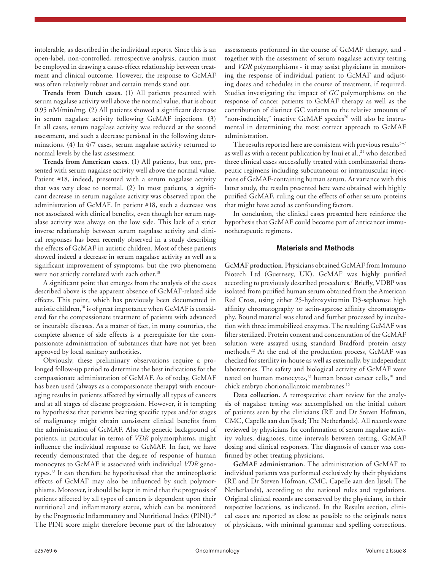intolerable, as described in the individual reports. Since this is an open-label, non-controlled, retrospective analysis, caution must be employed in drawing a cause-effect relationship between treatment and clinical outcome. However, the response to GcMAF was often relatively robust and certain trends stand out.

**Trends from Dutch cases.** (1) All patients presented with serum nagalase activity well above the normal value, that is about 0.95 nM/min/mg. (2) All patients showed a significant decrease in serum nagalase activity following GcMAF injections. (3) In all cases, serum nagalase activity was reduced at the second assessment, and such a decrease persisted in the following determinations. (4) In 4/7 cases, serum nagalase activity returned to normal levels by the last assessment.

**Trends from American cases.** (1) All patients, but one, presented with serum nagalase activity well above the normal value. Patient #18, indeed, presented with a serum nagalase activity that was very close to normal. (2) In most patients, a significant decrease in serum nagalase activity was observed upon the administration of GcMAF. In patient #18, such a decrease was not associated with clinical benefits, even though her serum nagalase activity was always on the low side. This lack of a strict inverse relationship between serum nagalase activity and clinical responses has been recently observed in a study describing the effects of GcMAF in autistic children. Most of these patients showed indeed a decrease in serum nagalase activity as well as a significant improvement of symptoms, but the two phenomena were not strictly correlated with each other.<sup>18</sup>

A significant point that emerges from the analysis of the cases described above is the apparent absence of GcMAF-related side effects. This point, which has previously been documented in autistic children,<sup>18</sup> is of great importance when GcMAF is considered for the compassionate treatment of patients with advanced or incurable diseases. As a matter of fact, in many countries, the complete absence of side effects is a prerequisite for the compassionate administration of substances that have not yet been approved by local sanitary authorities.

Obviously, these preliminary observations require a prolonged follow-up period to determine the best indications for the compassionate administration of GcMAF. As of today, GcMAF has been used (always as a compassionate therapy) with encouraging results in patients affected by virtually all types of cancers and at all stages of disease progression. However, it is tempting to hypothesize that patients bearing specific types and/or stages of malignancy might obtain consistent clinical benefits from the administration of GcMAF. Also the genetic background of patients, in particular in terms of *VDR* polymorphisms, might influence the individual response to GcMAF. In fact, we have recently demonstrated that the degree of response of human monocytes to GcMAF is associated with individual *VDR* genotypes.13 It can therefore be hypothesized that the antineoplastic effects of GcMAF may also be influenced by such polymorphisms. Moreover, it should be kept in mind that the prognosis of patients affected by all types of cancers is dependent upon their nutritional and inflammatory status, which can be monitored by the Prognostic Inflammatory and Nutritional Index (PINI).<sup>19</sup> The PINI score might therefore become part of the laboratory

assessments performed in the course of GcMAF therapy, and together with the assessment of serum nagalase activity testing and *VDR* polymorphisms - it may assist physicians in monitoring the response of individual patient to GcMAF and adjusting doses and schedules in the course of treatment, if required. Studies investigating the impact of *GC* polymorphisms on the response of cancer patients to GcMAF therapy as well as the contribution of distinct GC variants to the relative amounts of "non-inducible," inactive GcMAF species<sup>20</sup> will also be instrumental in determining the most correct approach to GcMAF administration.

The results reported here are consistent with previous results $5-7$ as well as with a recent publication by Inui et al.,<sup>21</sup> who described three clinical cases successfully treated with combinatorial therapeutic regimens including subcutaneous or intramuscular injections of GcMAF-containing human serum. At variance with this latter study, the results presented here were obtained with highly purified GcMAF, ruling out the effects of other serum proteins that might have acted as confounding factors.

In conclusion, the clinical cases presented here reinforce the hypothesis that GcMAF could become part of anticancer immunotherapeutic regimens.

# **Materials and Methods**

**GcMAF production.** Physicians obtained GcMAF from Immuno Biotech Ltd (Guernsey, UK). GcMAF was highly purified according to previously described procedures.7 Briefly, VDBP was isolated from purified human serum obtained from the American Red Cross, using either 25-hydroxyvitamin D3-sepharose high affinity chromatography or actin-agarose affinity chromatography. Bound material was eluted and further processed by incubation with three immobilized enzymes. The resulting GcMAF was filter sterilized. Protein content and concentration of the GcMAF solution were assayed using standard Bradford protein assay methods.22 At the end of the production process, GcMAF was checked for sterility in-house as well as externally, by independent laboratories. The safety and biological activity of GcMAF were tested on human monocytes, $13$  human breast cancer cells, $10$  and chick embryo chorionallantoic membranes.12

**Data collection.** A retrospective chart review for the analysis of nagalase testing was accomplished on the initial cohort of patients seen by the clinicians (RE and Dr Steven Hofman, CMC, Capelle aan den Ijssel; The Netherlands). All records were reviewed by physicians for confirmation of serum nagalase activity values, diagnoses, time intervals between testing, GcMAF dosing and clinical responses. The diagnosis of cancer was confirmed by other treating physicians.

**GcMAF administration.** The administration of GcMAF to individual patients was performed exclusively by their physicians (RE and Dr Steven Hofman, CMC, Capelle aan den Ijssel; The Netherlands), according to the national rules and regulations. Original clinical records are conserved by the physicians, in their respective locations, as indicated. In the Results section, clinical cases are reported as close as possible to the originals notes of physicians, with minimal grammar and spelling corrections.